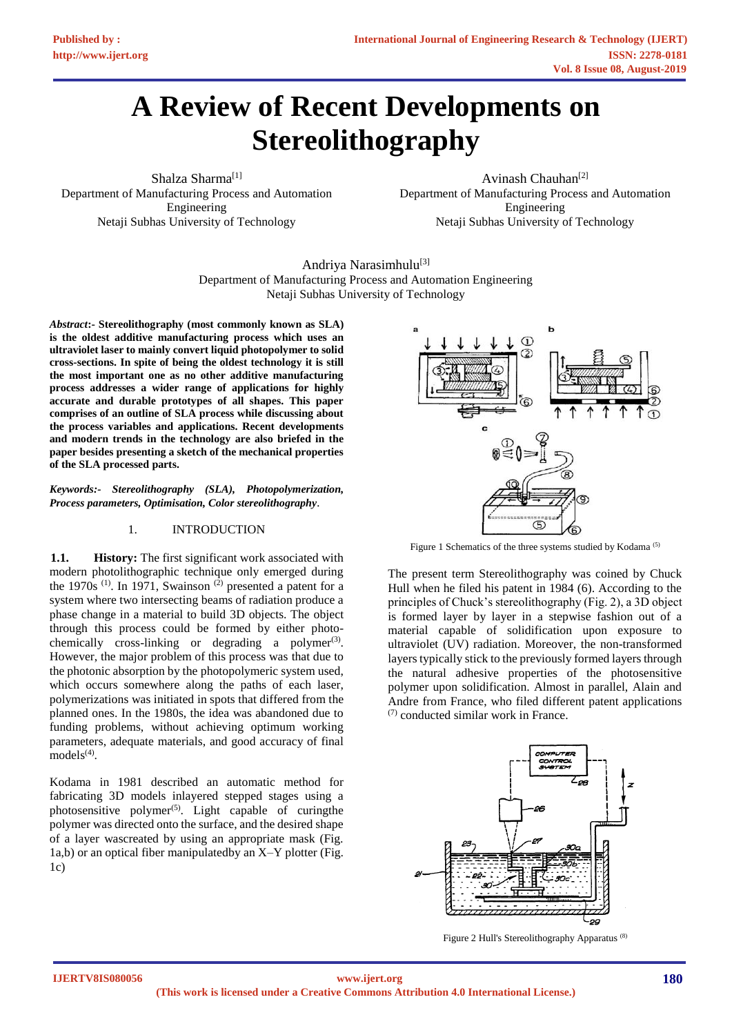# **A Review of Recent Developments on Stereolithography**

Shalza Sharma<sup>[1]</sup> Department of Manufacturing Process and Automation Engineering Netaji Subhas University of Technology

Avinash Chauhan<sup>[2]</sup> Department of Manufacturing Process and Automation Engineering Netaji Subhas University of Technology

Andriya Narasimhulu<sup>[3]</sup> Department of Manufacturing Process and Automation Engineering Netaji Subhas University of Technology

*Abstract***:- Stereolithography (most commonly known as SLA) is the oldest additive manufacturing process which uses an ultraviolet laser to mainly convert liquid photopolymer to solid cross-sections. In spite of being the oldest technology it is still the most important one as no other additive manufacturing process addresses a wider range of applications for highly accurate and durable prototypes of all shapes. This paper comprises of an outline of SLA process while discussing about the process variables and applications. Recent developments and modern trends in the technology are also briefed in the paper besides presenting a sketch of the mechanical properties of the SLA processed parts.**

*Keywords:- Stereolithography (SLA), Photopolymerization, Process parameters, Optimisation, Color stereolithography.*

# 1. INTRODUCTION

**1.1. History:** The first significant work associated with modern photolithographic technique only emerged during the 1970s<sup>(1)</sup>. In 1971, Swainson<sup>(2)</sup> presented a patent for a system where two intersecting beams of radiation produce a phase change in a material to build 3D objects. The object through this process could be formed by either photochemically cross-linking or degrading a polymer<sup>(3)</sup>. However, the major problem of this process was that due to the photonic absorption by the photopolymeric system used, which occurs somewhere along the paths of each laser, polymerizations was initiated in spots that differed from the planned ones. In the 1980s, the idea was abandoned due to funding problems, without achieving optimum working parameters, adequate materials, and good accuracy of final  $models^{(4)}$ .

Kodama in 1981 described an automatic method for fabricating 3D models inlayered stepped stages using a photosensitive polymer<sup> $(5)$ </sup>. Light capable of curing the polymer was directed onto the surface, and the desired shape of a layer wascreated by using an appropriate mask (Fig. 1a,b) or an optical fiber manipulatedby an X–Y plotter (Fig.  $1c)$ 



Figure 1 Schematics of the three systems studied by Kodama<sup>(5)</sup>

The present term Stereolithography was coined by Chuck Hull when he filed his patent in 1984 (6). According to the principles of Chuck's stereolithography (Fig. 2), a 3D object is formed layer by layer in a stepwise fashion out of a material capable of solidification upon exposure to ultraviolet (UV) radiation. Moreover, the non-transformed layers typically stick to the previously formed layers through the natural adhesive properties of the photosensitive polymer upon solidification. Almost in parallel, Alain and Andre from France, who filed different patent applications (7) conducted similar work in France.



Figure 2 Hull's Stereolithography Apparatus (8)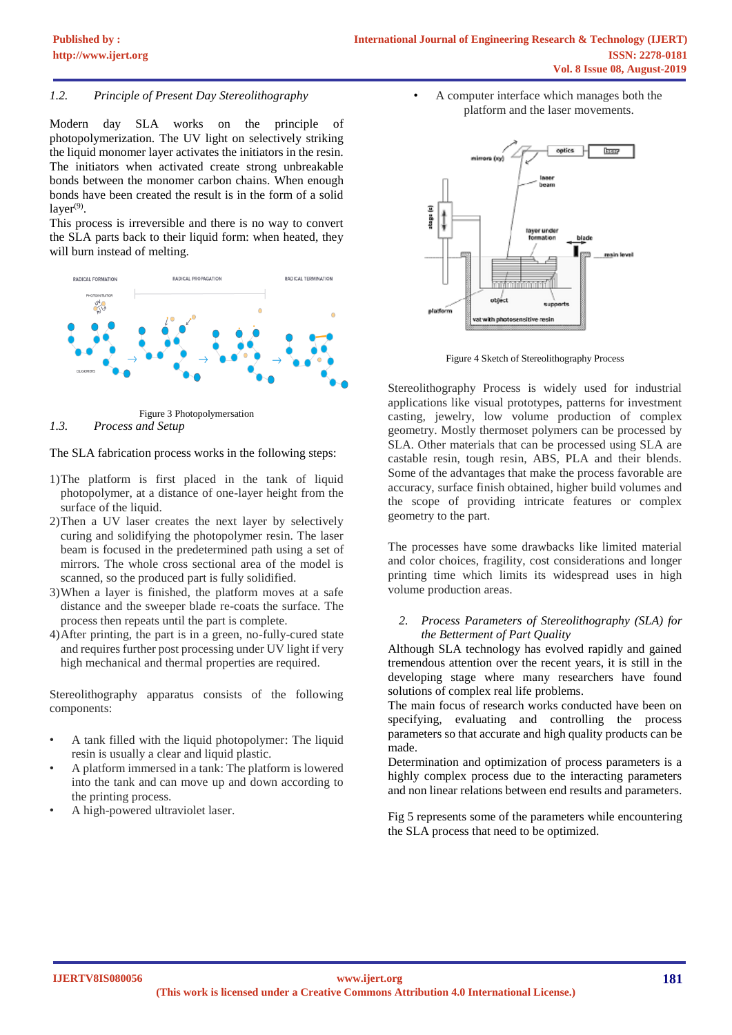# *1.2. Principle of Present Day Stereolithography*

Modern day SLA works on the principle of photopolymerization. The UV light on selectively striking the liquid monomer layer activates the initiators in the resin. The initiators when activated create strong unbreakable bonds between the monomer carbon chains. When enough bonds have been created the result is in the form of a solid layer<sup>(9)</sup>.

This process is irreversible and there is no way to convert the SLA parts back to their liquid form: when heated, they will burn instead of melting.



*1.3. Process and Setup*

### The SLA fabrication process works in the following steps:

- 1)The platform is first placed in the tank of liquid photopolymer, at a distance of one-layer height from the surface of the liquid.
- 2)Then a UV laser creates the next layer by selectively curing and solidifying the photopolymer resin. The laser beam is focused in the predetermined path using a set of mirrors. The whole cross sectional area of the model is scanned, so the produced part is fully solidified.
- 3)When a layer is finished, the platform moves at a safe distance and the sweeper blade re-coats the surface. The process then repeats until the part is complete.
- 4)After printing, the part is in a green, no-fully-cured state and requires further post processing under UV light if very high mechanical and thermal properties are required.

Stereolithography apparatus consists of the following components:

- A tank filled with the liquid photopolymer: The liquid resin is usually a clear and liquid plastic.
- A platform immersed in a tank: The platform is lowered into the tank and can move up and down according to the printing process.
- A high-powered ultraviolet laser.

• A computer interface which manages both the platform and the laser movements.



Figure 4 Sketch of Stereolithography Process

Stereolithography Process is widely used for industrial applications like visual prototypes, patterns for investment casting, jewelry, low volume production of complex geometry. Mostly thermoset polymers can be processed by SLA. Other materials that can be processed using SLA are castable resin, tough resin, ABS, PLA and their blends. Some of the advantages that make the process favorable are accuracy, surface finish obtained, higher build volumes and the scope of providing intricate features or complex geometry to the part.

The processes have some drawbacks like limited material and color choices, fragility, cost considerations and longer printing time which limits its widespread uses in high volume production areas.

#### *2. Process Parameters of Stereolithography (SLA) for the Betterment of Part Quality*

Although SLA technology has evolved rapidly and gained tremendous attention over the recent years, it is still in the developing stage where many researchers have found solutions of complex real life problems.

The main focus of research works conducted have been on specifying, evaluating and controlling the process parameters so that accurate and high quality products can be made.

Determination and optimization of process parameters is a highly complex process due to the interacting parameters and non linear relations between end results and parameters.

Fig 5 represents some of the parameters while encountering the SLA process that need to be optimized.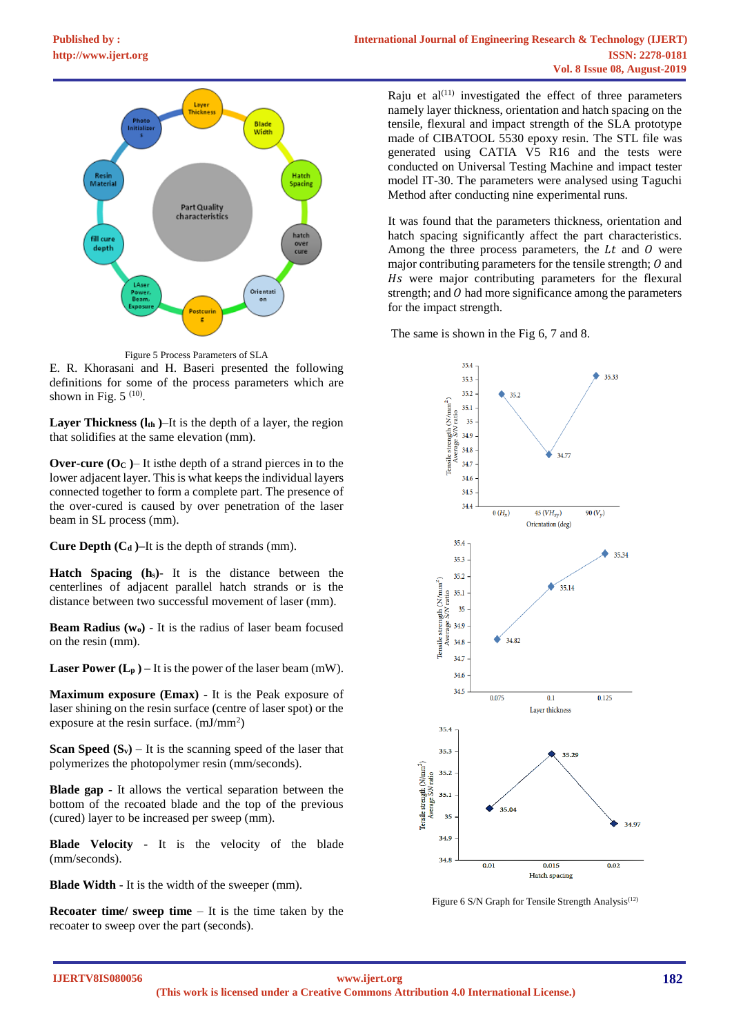

Figure 5 Process Parameters of SLA

E. R. Khorasani and H. Baseri presented the following definitions for some of the process parameters which are shown in Fig.  $5^{(10)}$ .

**Layer Thickness (lth )**–It is the depth of a layer, the region that solidifies at the same elevation (mm).

**Over-cure (O<sub>C</sub>**)– It is the depth of a strand pierces in to the lower adjacent layer. This is what keeps the individual layers connected together to form a complete part. The presence of the over-cured is caused by over penetration of the laser beam in SL process (mm).

**Cure Depth (C<sup>d</sup> )–**It is the depth of strands (mm).

**Hatch Spacing (hs)**- It is the distance between the centerlines of adjacent parallel hatch strands or is the distance between two successful movement of laser (mm).

**Beam Radius (wo)** - It is the radius of laser beam focused on the resin (mm).

**Laser Power**  $(L_p)$  **– It is the power of the laser beam**  $(mW)$ **.** 

**Maximum exposure (Emax) -** It is the Peak exposure of laser shining on the resin surface (centre of laser spot) or the exposure at the resin surface. (mJ/mm<sup>2</sup>)

**Scan Speed**  $(S_v)$  – It is the scanning speed of the laser that polymerizes the photopolymer resin (mm/seconds).

**Blade gap -** It allows the vertical separation between the bottom of the recoated blade and the top of the previous (cured) layer to be increased per sweep (mm).

**Blade Velocity** - It is the velocity of the blade (mm/seconds).

**Blade Width** - It is the width of the sweeper (mm).

**Recoater time/ sweep time** – It is the time taken by the recoater to sweep over the part (seconds).

Raju et  $al^{(11)}$  investigated the effect of three parameters namely layer thickness, orientation and hatch spacing on the tensile, flexural and impact strength of the SLA prototype made of CIBATOOL 5530 epoxy resin. The STL file was generated using CATIA V5 R16 and the tests were conducted on Universal Testing Machine and impact tester model IT-30. The parameters were analysed using Taguchi Method after conducting nine experimental runs.

It was found that the parameters thickness, orientation and hatch spacing significantly affect the part characteristics. Among the three process parameters, the  $Lt$  and  $O$  were major contributing parameters for the tensile strength;  $O$  and Hs were major contributing parameters for the flexural strength; and  $\theta$  had more significance among the parameters for the impact strength.

The same is shown in the Fig 6, 7 and 8.



Figure 6 S/N Graph for Tensile Strength Analysis<sup>(12)</sup>

**IJERTV8IS080056**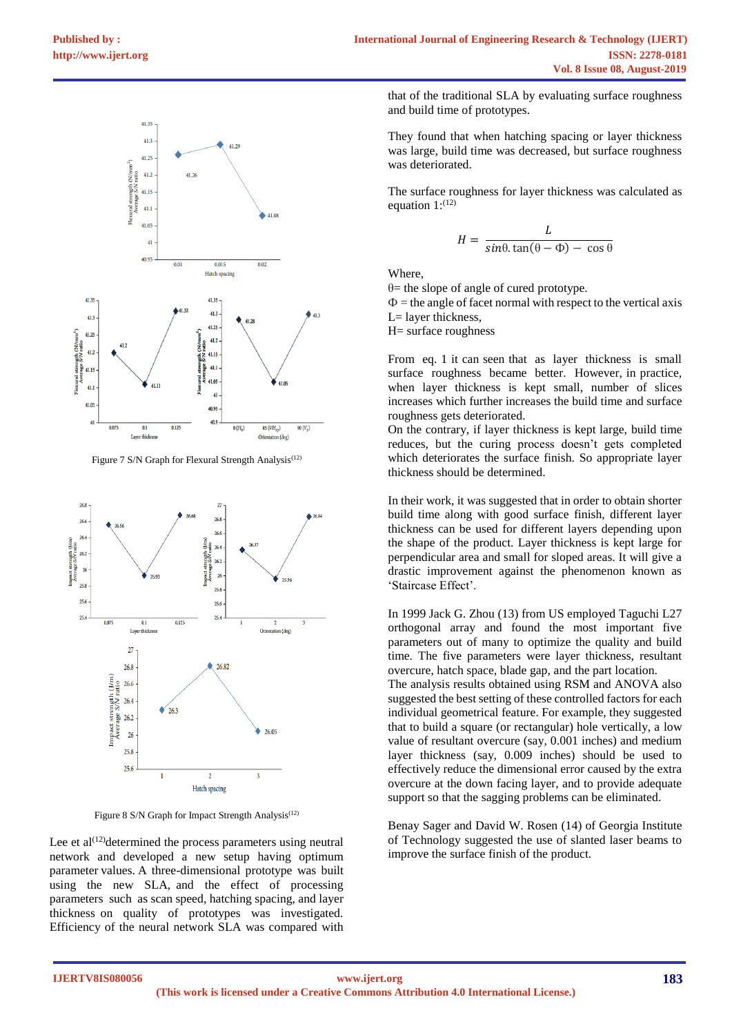

Figure 7 S/N Graph for Flexural Strength Analysis<sup>(12)</sup>



Figure 8 S/N Graph for Impact Strength Analysis<sup>(12)</sup>

Lee et al<sup> $(12)$ </sup>determined the process parameters using neutral network and developed a new setup having optimum parameter values. A three-dimensional prototype was built using the new SLA, and the effect of processing parameters such as scan speed, hatching spacing, and layer thickness on quality of prototypes was investigated. Efficiency of the neural network SLA was compared with

that of the traditional SLA by evaluating surface roughness and build time of prototypes.

They found that when hatching spacing or layer thickness was large, build time was decreased, but surface roughness was deteriorated.

The surface roughness for layer thickness was calculated as equation  $1$ :<sup>(12)</sup>

$$
H = \frac{L}{\sin\theta \cdot \tan(\theta - \Phi) - \cos\theta}
$$

Where,

θ= the slope of angle of cured prototype.

 $\Phi$  = the angle of facet normal with respect to the vertical axis L= layer thickness,

H= surface roughness

From eq. 1 it can seen that as layer thickness is small surface roughness became better. However, in practice, when layer thickness is kept small, number of slices increases which further increases the build time and surface roughness gets deteriorated.

On the contrary, if layer thickness is kept large, build time reduces, but the curing process doesn't gets completed which deteriorates the surface finish. So appropriate layer thickness should be determined.

In their work, it was suggested that in order to obtain shorter build time along with good surface finish, different layer thickness can be used for different layers depending upon the shape of the product. Layer thickness is kept large for perpendicular area and small for sloped areas. It will give a drastic improvement against the phenomenon known as 'Staircase Effect'.

In 1999 Jack G. Zhou (13) from US employed Taguchi L27 orthogonal array and found the most important five parameters out of many to optimize the quality and build time. The five parameters were layer thickness, resultant overcure, hatch space, blade gap, and the part location.

The analysis results obtained using RSM and ANOVA also suggested the best setting of these controlled factors for each individual geometrical feature. For example, they suggested that to build a square (or rectangular) hole vertically, a low value of resultant overcure (say, 0.001 inches) and medium layer thickness (say, 0.009 inches) should be used to effectively reduce the dimensional error caused by the extra overcure at the down facing layer, and to provide adequate support so that the sagging problems can be eliminated.

Benay Sager and David W. Rosen (14) of Georgia Institute of Technology suggested the use of slanted laser beams to improve the surface finish of the product.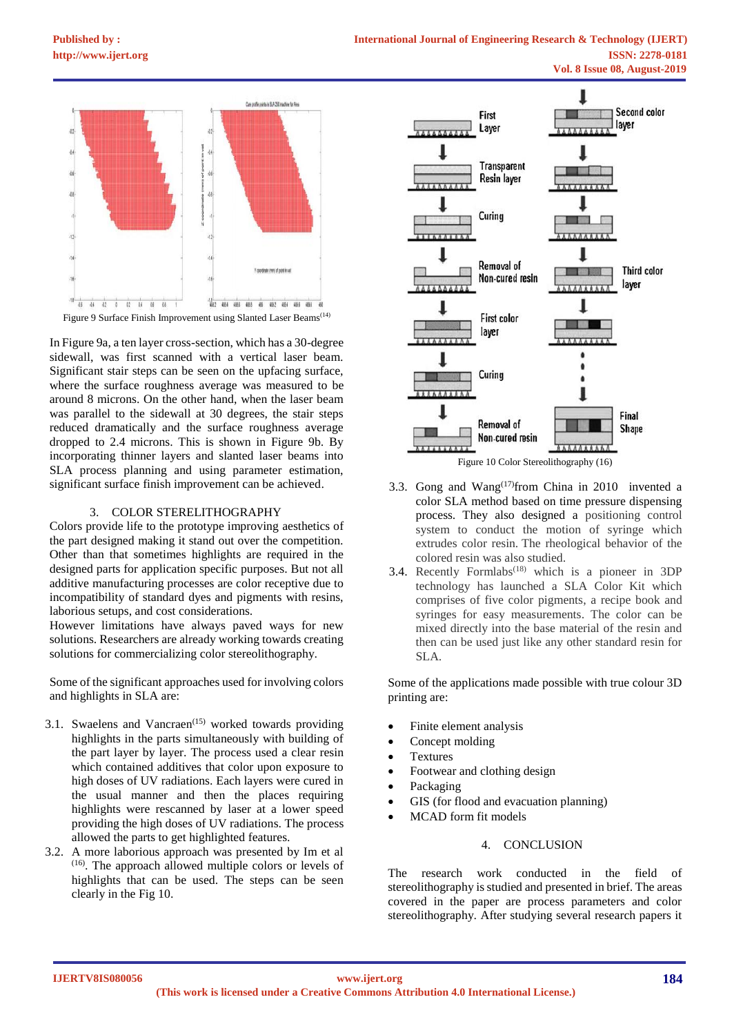

In Figure 9a, a ten layer cross-section, which has a 30-degree sidewall, was first scanned with a vertical laser beam. Significant stair steps can be seen on the upfacing surface, where the surface roughness average was measured to be around 8 microns. On the other hand, when the laser beam was parallel to the sidewall at 30 degrees, the stair steps reduced dramatically and the surface roughness average dropped to 2.4 microns. This is shown in Figure 9b. By incorporating thinner layers and slanted laser beams into SLA process planning and using parameter estimation, significant surface finish improvement can be achieved.

## 3. COLOR STERELITHOGRAPHY

Colors provide life to the prototype improving aesthetics of the part designed making it stand out over the competition. Other than that sometimes highlights are required in the designed parts for application specific purposes. But not all additive manufacturing processes are color receptive due to incompatibility of standard dyes and pigments with resins, laborious setups, and cost considerations.

However limitations have always paved ways for new solutions. Researchers are already working towards creating solutions for commercializing color stereolithography.

Some of the significant approaches used for involving colors and highlights in SLA are:

- 3.1. Swaelens and Vancraen<sup> $(15)$ </sup> worked towards providing highlights in the parts simultaneously with building of the part layer by layer. The process used a clear resin which contained additives that color upon exposure to high doses of UV radiations. Each layers were cured in the usual manner and then the places requiring highlights were rescanned by laser at a lower speed providing the high doses of UV radiations. The process allowed the parts to get highlighted features.
- 3.2. A more laborious approach was presented by Im et al (16). The approach allowed multiple colors or levels of highlights that can be used. The steps can be seen clearly in the Fig 10.





- 3.3. Gong and Wang $(17)$ from China in 2010 invented a color SLA method based on time pressure dispensing process. They also designed a positioning control system to conduct the motion of syringe which extrudes color resin. The rheological behavior of the colored resin was also studied.
- 3.4. Recently Formlabs<sup> $(18)$ </sup> which is a pioneer in 3DP technology has launched a SLA Color Kit which comprises of five color pigments, a recipe book and syringes for easy measurements. The color can be mixed directly into the base material of the resin and then can be used just like any other standard resin for SLA.

Some of the applications made possible with true colour 3D printing are:

- Finite element analysis
- Concept molding
- **Textures**
- Footwear and clothing design
- Packaging
- GIS (for flood and evacuation planning)
	- MCAD form fit models

## 4. CONCLUSION

The research work conducted in the field of stereolithography is studied and presented in brief. The areas covered in the paper are process parameters and color stereolithography. After studying several research papers it